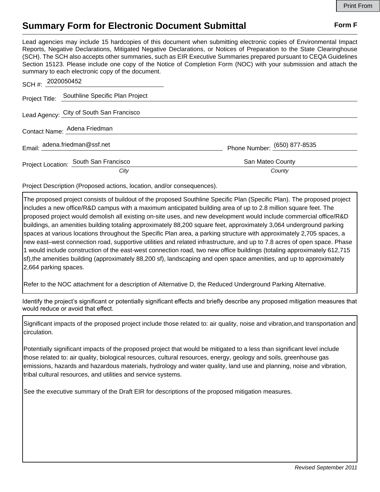## **Summary Form for Electronic Document Submittal Form F Form F**

Lead agencies may include 15 hardcopies of this document when submitting electronic copies of Environmental Impact Reports, Negative Declarations, Mitigated Negative Declarations, or Notices of Preparation to the State Clearinghouse (SCH). The SCH also accepts other summaries, such as EIR Executive Summaries prepared pursuant to CEQA Guidelines Section 15123. Please include one copy of the Notice of Completion Form (NOC) with your submission and attach the summary to each electronic copy of the document.

| SCH #: 2020050452             |                                                |                              |
|-------------------------------|------------------------------------------------|------------------------------|
|                               | Project Title: Southline Specific Plan Project |                              |
|                               | Lead Agency: City of South San Francisco       |                              |
| Contact Name: Adena Friedman  |                                                |                              |
| Email: adena.friedman@ssf.net |                                                | Phone Number: (650) 877-8535 |
|                               | Project Location: South San Francisco          | San Mateo County             |
|                               | City                                           | County                       |

Project Description (Proposed actions, location, and/or consequences).

The proposed project consists of buildout of the proposed Southline Specific Plan (Specific Plan). The proposed project includes a new office/R&D campus with a maximum anticipated building area of up to 2.8 million square feet. The proposed project would demolish all existing on-site uses, and new development would include commercial office/R&D buildings, an amenities building totaling approximately 88,200 square feet, approximately 3,064 underground parking spaces at various locations throughout the Specific Plan area, a parking structure with approximately 2,705 spaces, a new east–west connection road, supportive utilities and related infrastructure, and up to 7.8 acres of open space. Phase 1 would include construction of the east-west connection road, two new office buildings (totaling approximately 612,715 sf),the amenities building (approximately 88,200 sf), landscaping and open space amenities, and up to approximately 2,664 parking spaces.

Refer to the NOC attachment for a description of Alternative D, the Reduced Underground Parking Alternative.

Identify the project's significant or potentially significant effects and briefly describe any proposed mitigation measures that would reduce or avoid that effect.

Significant impacts of the proposed project include those related to: air quality, noise and vibration,and transportation and circulation.

Potentially significant impacts of the proposed project that would be mitigated to a less than significant level include those related to: air quality, biological resources, cultural resources, energy, geology and soils, greenhouse gas emissions, hazards and hazardous materials, hydrology and water quality, land use and planning, noise and vibration, tribal cultural resources, and utilities and service systems.

See the executive summary of the Draft EIR for descriptions of the proposed mitigation measures.